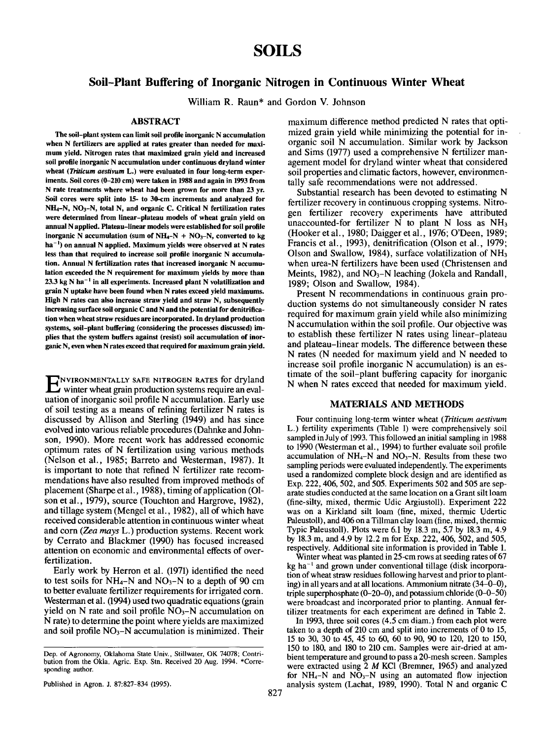# **SOILS**

# **Soil-Plant Buffering of Inorganic Nitrogen in Continuous Winter Wheat**

**William R. Raun\* and Gordon V. Johnson**

# ABSTRACT

**The soil-plant system can** limit soil **profile inorganic N accumulation when** N fertilizers **are applied at rates greater than needed for** maximum **yield. Nitrogen rates that maximized grain yield and increased** soil profile inorganic N **accumulation under continuous dryland winter wheat** *(Triticum aestivura L.)* **were evaluated in four long-term** experiments. Soil cores (0-210 **cm) were taken in 1988 and again** in 1993 **from** N **rate treatments where wheat had been grown for more than** 23 yr. Soil **cores were split into** 15- to 30-cm **increments and analyzed for** NH4-N, NO3-N, total N, **and organic** C. Critical N fertilization **rates were determined from linear-plateau models of wheat grain yield on** annual N applied. Plateau-linear **models werestablished for soil profile** inorganic N accumulation (sum of  $NH_4-N + NO_3-N$ , converted to kg ha-I) **on annual N applied. Maximum yields were** ohserved at N **rates** less than that required to increase soil profile inorganic N accumula**tion. Annual** N fertilization rates that **increased inorganic N accumulation** exceeded the N **requirement for maximum yields by more** than 23.3 kg N ha<sup>-1</sup> in all experiments. Increased plant N volatilization and **grain N uptake have been found when N rates exceed yield maximums.** High N **rates can** also increase **straw yield and straw N, subsequently increasing surface soil organic C and N and the potential for denitrification when wheat straw residues are incorporated. Indryland production systems, soil-plant buffering (considering the processes discussed) implies that the system buffers against (resist) soil accumulation of inorganic** N, **even when** N rates exceed that **required for maximum** grain yield.

ENVIRONMENTALLY SAFE NITROGEN RATES for dryland<br>Winter wheat grain production systems require an evaluation of inorganic soil profile N accumulation. Early use of soil testing as a means of refining fertilizer N rates is discussed by Allison and Sterling (1949) and has since evolved into various reliable procedures (Dahnke and Johnson, 1990). More recent work has addressed economic optimum rates of N fertilization using various methods (Nelson et al., 1985; Barreto and Westerman, 1987). is important to note that refined N fertilizer rate recommendations have also resulted from improved methods of placement (Sharpe et al., 1988), timing of application (O1 son et al., 1979), source (Touchton and Hargrove, 1982), and tillage system (Mengel et al., 1982), all of which have received considerable attention in continuous winter wheat and corn *(Zea mays* L.) production systems. Recent work by Cerrato and Blackmer (1990) has focused increased attention on economic and environmental effects of overfertilization.

Early work by Herron et al. (1971) identified the need to test soils for  $NH_4-N$  and  $NO_3-N$  to a depth of 90 cm to better evaluate fertilizer requirements for irrigated corn. Westerman et al. (1994) used two quadratic equations (grain yield on N rate and soil profile  $\overline{NO_3-N}$  accumulation on N rate) to determine the point where yields are maximized and soil profile  $NO<sub>3</sub>–N$  accumulation is minimized. Their

Published in Agron. J. 87:827-834 (1995).

maximum difference method predicted N rates that optimized grain yield while minimizing the potential for inorganic soil N accumulation. Similar work by Jackson and Sims (1977) used a comprehensive N fertilizer management model for dryland winter wheat that considered soil properties and climatic factors, however, environmentally safe recommendations were not addressed.

Substantial research has been devoted to estimating N fertilizer recovery in continuous cropping systems. Nitrogen fertilizer recovery experiments have attributed unaccounted-for fertilizer  $N$  to plant N loss as  $NH<sub>3</sub>$ (Hooker et al., 1980; Daigger et al., 1976; O'Deen, 1989; Francis et al., 1993), denitrification (Olson et al., 1979; Olson and Swallow, 1984), surface volatilization of NH3 when urea-N fertilizers have been used (Christensen and Meints, 1982), and  $NO<sub>3</sub>–N$  leaching (Jokela and Randall, 1989; Olson and Swallow, 1984).

Present N recommendations in continuous grain production systems do not simultaneously consider N rates required for maximum grain yield while also minimizing N accumulation within the soil profile. Our objective was to establish these fertilizer N rates using linear-plateau and plateau-linear models. The difference between these N rates (N needed for maximum yield and N needed to increase soil profile inorganic N accumulation) is an estimate of the soil-plant buffering capacity for inorganic N when N rates exceed that needed for maximum yield.

#### MATERIALS AND METHODS

Four continuing long-term winter wheat *(Triticum aestivum* L.) fertility experiments (Table 1) were comprehensively soil sampled in July of 1993. This followed an initial sampling in 1988 to 1990 (Westerman et al., 1994) to further evaluate soil profile accumulation of  $NH_4-N$  and  $NO_3-N$ . Results from these two sampling periods were evaluated independently. The experiments used a randomized complete block design and are identified as Exp. 222, 406, 502, and 505. Experiments 502 and 505 are separate studies conducted at the same location on a Grant silt loam (fine-silty, mixed, thermic Udic Argiustoll). Experiment 222 was on a Kirkland silt loam (fine, mixed, thermic Udertic Paleustoll), and 406 on a Tillman clay loam (fine, mixed, thermic Typic Paleustoll). Plots were 6.1 by 18.3 m, 5.7 by 18.3 m, 4.9 by 18.3 m, and 4.9 by 12.2 m for Exp. 222, 406, 502, and 505, respectively. Additional site information is provided in Table 1.

Winter wheat was planted in 25-cm rows at seeding rates of 67  $kg$  ha<sup>-1</sup> and grown under conventional tillage (disk incorporation of wheat straw residues following harvest and prior to planting) in all years and at all locations. Ammonium nitrate (34-0-0), triple superphosphate (0-20-0), and potassium chloride (0-0-50) were broadcast and incorporated prior to planting. Annual fertilizer treatments for each experiment are defined in Table 2.

In 1993, three soil cores (4.5 cm diam.) from each plot were taken to a depth of 210 cm and split into increments of 0 to 15, 15 to 30, 30 to 45, 45 to 60, 60 to 90, 90 to 120, 120 to 150, 150 to 180, and 180 to 210 cm. Samples were air-dried at ambient temperature and ground to pass a 20-mesh screen. Samples were extracted using 2 M KCI (Bremner, 1965) and analyzed for  $NH_4-N$  and  $NO_3-N$  using an automated flow injection analysis system (Lachat, 1989, 1990). Total N and organic C

Dep. of Agronomy, Oklahoma State Univ., Stillwater, OK 74078; Contribution from the Okla. Agric. Exp. Stn. Received 20 Aug. 1994. \*Corresponding author.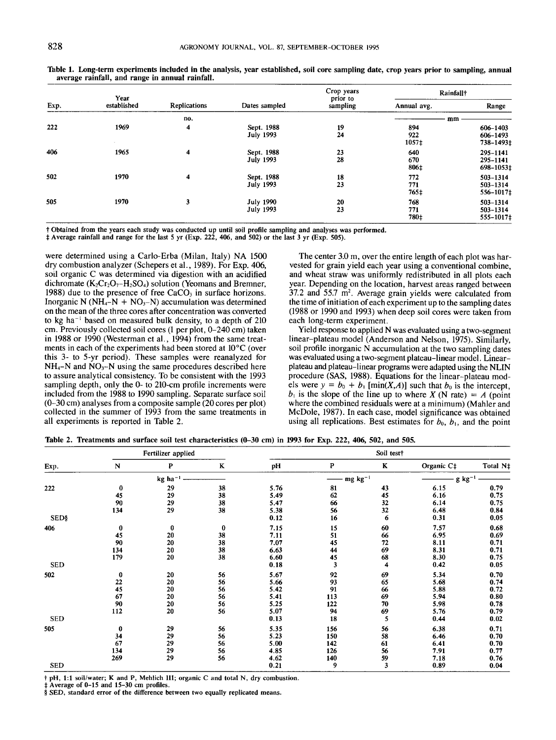|      | Year        |                                                              |                                      | Crop years | Rainfall <sup>†</sup> |                                   |  |
|------|-------------|--------------------------------------------------------------|--------------------------------------|------------|-----------------------|-----------------------------------|--|
| Exp. | established | prior to<br><b>Replications</b><br>Dates sampled<br>sampling |                                      |            | Annual avg.           | Range                             |  |
|      |             | no.                                                          |                                      |            | mm                    |                                   |  |
| 222  | 1969        | 4                                                            | Sept. 1988<br><b>July 1993</b>       | 19<br>24   | 894<br>922<br>1057‡   | 606-1403<br>606-1493<br>738-1493‡ |  |
| 406  | 1965        | 4                                                            | Sept. 1988<br><b>July 1993</b>       | 23<br>28   | 640<br>670<br>806‡    | 295-1141<br>295-1141<br>698-1053‡ |  |
| 502  | 1970        | $\overline{\mathbf{4}}$                                      | Sept. 1988<br><b>July 1993</b>       | 18<br>23   | 772<br>771<br>765‡    | 503-1314<br>503-1314<br>556-1017‡ |  |
| 505  | 1970        | 3                                                            | <b>July 1990</b><br><b>July 1993</b> | 20<br>23   | 768<br>771<br>780‡    | 503-1314<br>503-1314<br>555-1017‡ |  |

"lhble 1. Long-term **experiments included in the** analysis, year established, soil core sampling date, crop years prior to sampling, **annual average rainfall, and range** in annual rainfall.

Obtained from the years each study was conducted up until soil profile sampling and analyses was **performed.**

Average rainfall and range for the last 5 yr (Exp. 222, 406, and 502) or the last 3 yr (Exp. 505).

were determined using a Carlo-Erba (Milan, Italy) NA 1500 dry. combustion analyzer (Schepers et al., 1989). For Exp. 406, soil organic C was determined via digestion with an acidified dichromate  $(K_2Cr_2O_7-H_2SO_4)$  solution (Yeomans and Bremner, 1988) due to the presence of free  $CaCO<sub>3</sub>$  in surface horizons. Inorganic N ( $NH_4-N + NO_3-N$ ) accumulation was determined on the mean of the three cores after concentration was converted to kg ha<sup>-1</sup> based on measured bulk density, to a depth of  $210$ cm. Previously collected soil cores (1 per plot, 0-240 cm) taken in 1988 or 1990 (Westerman et al., 1994) from the same treatments in each of the experiments had been stored at 10°C (over this 3- to 5-yr period). These samples were reanalyzed for  $NH_4-N$  and  $NO_3-N$  using the same procedures described here to assure analytical consistency. To be consistent with the 1993 sampling depth, only the 0- to 210-cm profile increments were included from the 1988 to 1990 sampling. Separate surface soil (0--30 cm) analyses from a composite sample (20 cores per plot) collected in the summer of 1993 from the same treatments in all experiments is reported in Table 2.

The center 3.0 m, over the entire length of each plot was harvested for grain yield each year using a conventional combine, and wheat straw was uniformly redistributed in all plots each year. Depending on the location, harvest areas ranged between  $37.2$  and  $55.7$  m<sup>2</sup>. Average grain yields were calculated from the time of initiation of each experiment up to the sampling dates (1988 or 1990 and 1993) when deep soil cores were taken from each long-term experiment.

Yield response to applied N was evaluated using a two-segment linear-plateau model (Anderson and Nelson, 1975). Similarly, soil profile inorganic N accumulation at the two sampling dates was evaluated using a two-segment plateau-linear model. Linearplateau and plateau-linear programs were adapted using the NLIN procedure (SAS, 1988). Equations for the linear-plateau models were  $y = b_0 + b_1$  [min(X,A)] such that  $b_0$  is the intercept,  $b_{\perp}$  is the slope of the line up to where X (N rate) = A (point where the combined residuals were at a minimum) (Mahler and McDole, 1987). In each case, model significance was obtained using all replications. Best estimates for  $b_0$ ,  $b_1$ , and the point

| Table 2. Treatments and surface soil test characteristics (0–30 cm) in 1993 for Exp. 222, 406, 502, and 505. |  |  |
|--------------------------------------------------------------------------------------------------------------|--|--|
|--------------------------------------------------------------------------------------------------------------|--|--|

|              | Fertilizer applied |                       |          | Soil test† |                 |                         |                        |                      |
|--------------|--------------------|-----------------------|----------|------------|-----------------|-------------------------|------------------------|----------------------|
| Exp.         | N                  | P                     | $\bf K$  | pH         | P               | K                       | Organic C <sub>‡</sub> | Total N <sub>‡</sub> |
|              |                    | $kg$ ha <sup>-1</sup> |          |            | $mg \, kg^{-1}$ |                         | $g kg^{-1}$            |                      |
| 222          | $\bf{0}$           | 29                    | 38       | 5.76       | 81              | 43                      | 6.15                   | 0.79                 |
|              | 45                 | 29                    | 38       | 5.49       | 62              | 45                      | 6.16                   | 0.75                 |
|              | 90                 | 29                    | 38       | 5.47       | 66              | 32                      | 6.14                   | 0.75                 |
|              | 134                | 29                    | 38       | 5.38       | 56              | 32                      | 6.48                   | 0.84                 |
| <b>SED\$</b> |                    |                       |          | 0.12       | 16              | 6                       | 0.31                   | 0.05                 |
| 406          | 0                  | $\bf{0}$              | $\bf{0}$ | 7.15       | 15              | 60                      | 7.57                   | 0.68                 |
|              | 45                 | 20                    | 38       | 7.11       | 51              | 66                      | 6.95                   | 0.69                 |
|              | 90                 | 20                    | 38       | 7.07       | 45              | 72                      | 8.11                   | 0.71                 |
|              | 134                | 20                    | 38       | 6.63       | 44              | 69                      | 8.31                   | 0.71                 |
|              | 179                | 20                    | 38       | 6.60       | 45              | 68                      | 8.30                   | 0.75                 |
| <b>SED</b>   |                    |                       |          | 0.18       | 3               | 4                       | 0.42                   | 0.05                 |
| 502          | 0                  | 20                    | 56       | 5.67       | 92              | 69                      | 5.34                   | 0.70                 |
|              | 22                 | 20                    | 56       | 5.66       |                 | 65                      | 5.68                   | 0.74                 |
|              | 45                 | 20                    | 56       | 5.42       | 93<br>91        | 66                      | 5.88                   | 0.72                 |
|              | 67                 | 20                    | 56       | 5.41       | 113             | 69                      | 5.94                   | 0.80                 |
|              | 90                 | 20                    | 56       | 5.25       | 122             | 70                      | 5.98                   | 0.78                 |
|              | 112                | 20                    | 56       | 5.07       | 94              | 69                      | 5.76                   | 0.79                 |
| <b>SED</b>   |                    |                       |          | 0.13       | 18              | 5                       | 0.44                   | 0.02                 |
| 505          | 0                  | 29                    | 56       | 5.35       | 156             | 56                      | 6.38                   | 0.71                 |
|              | 34                 | 29                    | 56       | 5.23       | 150             | 58                      | 6.46                   | 0.70                 |
|              | 67                 | 29                    | 56       | 5.00       | 142             | 61                      | 6.41                   | 0.70                 |
|              | 134                | 29                    | 56       | 4.85       | 126             | 56                      | 7.91                   | 0.77                 |
|              | 269                | 29                    | 56       | 4.62       | 140             | 59                      | 7.18                   | 0.76                 |
| <b>SED</b>   |                    |                       |          | 0.21       | 9               | $\overline{\mathbf{3}}$ | 0.89                   | 0.04                 |

pH, 1:1 soil/water; K and P, Mehlich 1II; organic C and total N, dry combustion.

Average of 0-15 and 15-30 cm profiles.

SED, standard error of the difference between two equally replicated **means.**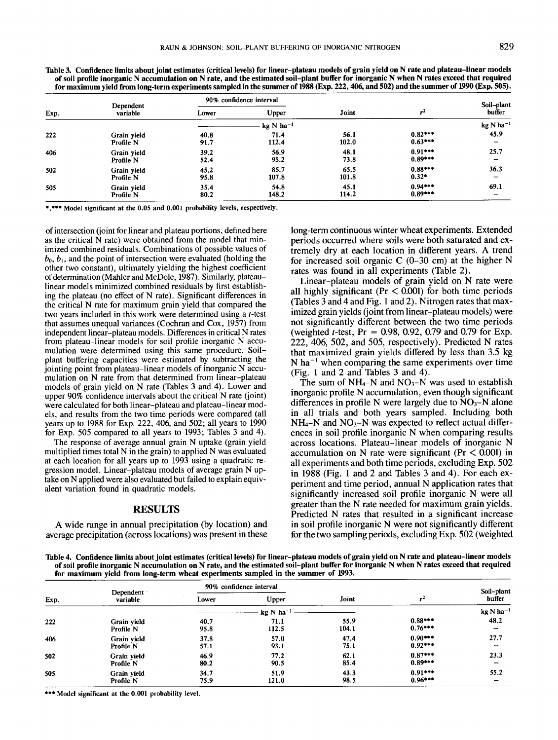| Exp. | Dependent<br>variable | 90% confidence interval |                                 |       |           | Soil-plant               |
|------|-----------------------|-------------------------|---------------------------------|-------|-----------|--------------------------|
|      |                       | Lower                   | Upper                           | Joint | $r^2$     | buffer                   |
|      |                       |                         | $kg \text{ N}$ ha <sup>-1</sup> |       |           | kg N ha <sup>-1</sup>    |
| 222  | Grain yield           | 40.8                    | 71.4                            | 56.1  | $0.82***$ | 45.9                     |
|      | Profile N             | 91.7                    | 112.4                           | 102.0 | $0.63***$ | $\overline{\phantom{a}}$ |
| 406  | Grain vield           | 39.2                    | 56.9                            | 48.1  | $0.91***$ | 25.7                     |
|      | Profile N             | 52.4                    | 95.2                            | 73.8  | $0.89***$ | -                        |
| 502  | Grain vield           | 45.2                    | 85.7                            | 65.5  | $0.88***$ | 36.3                     |
|      | Profile N             | 95.8                    | 107.8                           | 101.8 | $0.32*$   | -                        |
| 505  | Grain yield           | 35.4                    | 54.8                            | 45.1  | $0.94***$ | 69.1                     |
|      | Profile N             | 80.2                    | 148.2                           | 114.2 | $0.89***$ | $\overline{\phantom{0}}$ |

**Table 3. Confidence limits about joint estimates** (critical levels) for **linear-plateau models of grain yield on N rate and plateau-linear models** of **soil profile inorganic N accumulation on N rate, and the estimated soil-plant buffer for inorganic N when N rates exceed that required for maximum yield from long-term experiments sampled in the summer of** 1988 (Exp. 222, 406, and 502) **and the summer of** 1990 (Exp. 505).

\*,\*\*\* Model significant at the 0.05 and 0.001 probability levels, respectively.

of intersection (joint for linear and plateau portions, defined here as the critical N rate) were obtained from the model that minimized combined residuals. Combinations of possible values of  $b_0, b_1$ , and the point of intersection were evaluated (holding the other two constant), ultimately yielding the highest coefficient of determination (Mahler and McDole, 1987). Similarly, plateaulinear models minimized combined residuals by first establishing the plateau (no effect of N rate). Significant differences in the critical N rate for maximum grain yield that compared the two years included in this work were determined using a t-test that assumes unequal variances (Cochran and Cox, 1957) from independent linear-plateau models. Differences in critical N rates from plateau-linear models for soil profile inorganic N accumulation were determined using this same procedure. Soilplant buffering capacities were estimated by subtracting the jointing point from plateau-linear models of inorganic N accumulation on N rate from that determined from linear-plateau models of grain yield on N rate (Tables 3 and 4). Lower and upper 90% confidence intervals about the critical N rate (joint) were calculated for both linear-plateau and plateau-linear models, and results from the two time periods were compared (all years up to 1988 for Exp. 222, 406, and 502; all years to 1990 for Exp. 505 compared to all years to 1993; Tables 3 and 4).

The response of average annual grain N uptake (grain yield multiplied times total N in the grain) to applied N was evaluated at each location for all years up to 1993 using a quadratic regression model. Linear-plateau models of average grain N uptake on N applied were also evaluated but failed to explain equivalent variation found in quadratic models.

#### RESULTS

A wide range in annual precipitation (by location) and average precipitation (across locations) was present in these long-term continuous winter wheat experiments. Extended periods occurred where soils were both saturated and extremely dry at each location in different years. A trend for increased soil organic C  $(0-30 \text{ cm})$  at the higher N rates was found in all experiments (Table 2).

Linear-plateau models of grain yield on N rate were all highly significant ( $Pr < 0.001$ ) for both time periods (Tables 3 and 4 and Fig. 1 and 2). Nitrogen rates that maximized grain yields (joint from linear-plateau models) were not significantly different between the two time periods (weighted *t*-test,  $Pr = 0.98, 0.92, 0.79$  and 0.79 for Exp. 222, 406, 502, and 505, respectively). Predicted N rates that maximized grain yields differed by less than 3.5 kg N ha<sup> $-1$ </sup> when comparing the same experiments over time (Fig. 1 and 2 and Tables 3 and 4).

The sum of  $NH_4-N$  and  $NO_3-N$  was used to establish inorganic profile N accumulation, even though significant differences in profile N were largely due to  $NO<sub>3</sub>-N$  alone in all trials and both years sampled. Including both  $NH_4-N$  and  $NO_3-N$  was expected to reflect actual differences in soil profile inorganic N when comparing results across locations. Plateau-linear models of inorganic N accumulation on N rate were significant ( $Pr < 0.001$ ) in all experiments and both time periods, excluding Exp. 502 in 1988 (Fig. 1 and 2 and Tables 3 and 4). For each experiment and time period, annual N application rates that significantly increased soil profile inorganic N were all greater than the N rate needed for maximum grain yields. Predicted N rates that resulted in a significant increase in soil profile inorganic N were not significantly different for the two sampling periods, excluding Exp. 502 (weighted

**Table 4. Confidence limits about joint estimates (critical levels) for linear-plateau models of grain yield on** N rate **and plateau-linear models of soil profile inorganic N accumulation on N rate, and the estimated soil-plant buffer for inorganic N when N rates exceed that required for maximum yield from long-term wheat experiments sampled in the summer** of 1993.

| Exp. | Dependent<br>variable | 90% confidence interval |                |       |           | Soil-plant               |
|------|-----------------------|-------------------------|----------------|-------|-----------|--------------------------|
|      |                       | Lower                   | Upper          | Joint | $r^2$     | buffer                   |
|      |                       |                         | $kg N ha^{-1}$ |       |           | $kg N ha^{-1}$           |
| 222  | Grain vield           | 40.7                    | 71.1           | 55.9  | $0.88***$ | 48.2                     |
|      | Profile N             | 95.8                    | 112.5          | 104.1 | $0.76***$ | $\overline{\phantom{0}}$ |
| 406  | Grain vield           | 37.8                    | 57.0           | 47.4  | $0.90***$ | 27.7                     |
|      | Profile N             | 57.1                    | 93.1           | 75.1  | $0.92***$ | $\overline{\phantom{0}}$ |
| 502  | Grain yield           | 46.9                    | 77.2           | 62.1  | $0.87***$ | 23.3                     |
|      | Profile N             | 80.2                    | 90.5           | 85.4  | $0.89***$ | $\overline{\phantom{0}}$ |
| 505  | Grain yield           | 34.7                    | 51.9           | 43.3  | $0.91***$ | 55.2                     |
|      | Profile N             | 75.9                    | 121.0          | 98.5  | $0.96***$ | -                        |

\*\*\* **Model significant** at the **0.001 probability** level.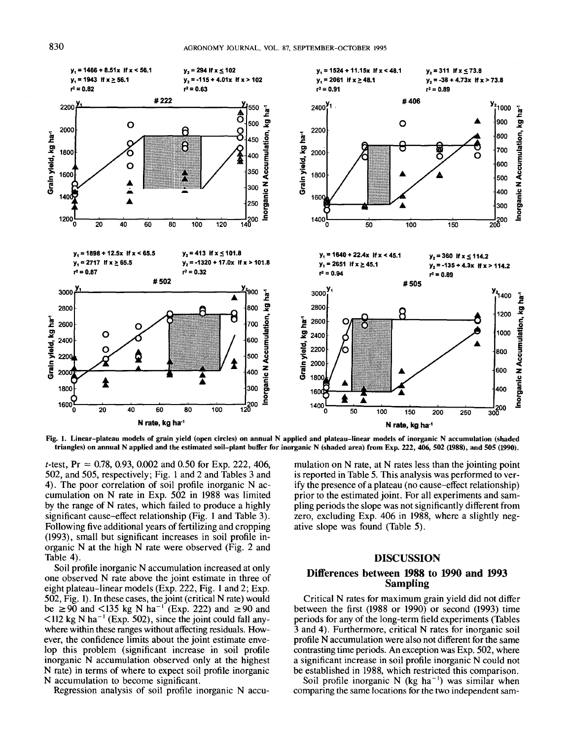

Fig. 1. Linear-plateau models of grain yield (open circles) on annual N applied and plateau-linear models of inorganic N accumulation (shaded triangles) on annual N applied and the estimated soil-plant buffer for inorganic N (shaded area) from Exp. 222, 406, 502 (1988), and 505 (1990).

*t*-test,  $Pr = 0.78$ , 0.93, 0.002 and 0.50 for Exp. 222, 406, 502, and 505, respectively; Fig. 1 and 2 and Tables 3 and 4). The poor correlation of soil profile inorganic N accumulation on N rate in Exp. 502 in 1988 was limited by the range of N rates, which failed to produce a highly significant cause-effect relationship (Fig. 1 and Table 3). Following five additional years of fertilizing and cropping (1993), small but significant increases in soil profile inorganic N at the high N rate were observed (Fig. 2 and Table 4).

Soil profile inorganic N accumulation increased at only one observed N rate above the joint estimate in three of eight plateau-linear models (Exp. 222, Fig. 1 and 2; Exp. 502, Fig. 1). In these cases, the joint (critical N rate) would be  $\ge 90$  and <135 kg N ha<sup>-1</sup> (Exp. 222) and  $\ge 90$  and  $\leq$ 112 kg N ha<sup>-1</sup> (Exp. 502), since the joint could fall anywhere within these ranges without affecting residuals. However, the confidence limits about the joint estimate envelop this problem (significant increase in soil profile inorganic N accumulation observed only at the highest N rate) in terms of where to expect soil profile inorganic N accumulation to become significant.

Regression analysis of soil profile inorganic N accu-

mulation on N rate, at N rates less than the jointing point is reported in Table 5. This analysis was performed to verify the presence of a plateau (no cause-effect relationship) prior to the estimated joint. For all experiments and sampling periods the slope was not significantly different from zero, excluding Exp. 406 in 1988, where a slightly negative slope was found (Table 5).

## **DISCUSSION**

## Differences between 1988 to 1990 and 1993 **Sampling**

Critical N rates for maximum grain yield did not differ between the first  $(1988 \text{ or } 1990)$  or second  $(1993)$  time periods for any of the long-term field experiments (Tables 3 and 4). Furthermore, critical N rates for inorganic soil profile N accumulation were also not different for the same contrasting time periods. An exception was Exp. 502, where a significant increase in soil profile inorganic N could not be established in 1988, which restricted this comparison.

Soil profile inorganic N ( $kg$  ha<sup>-1</sup>) was similar when comparing the same locations for the two independent sam-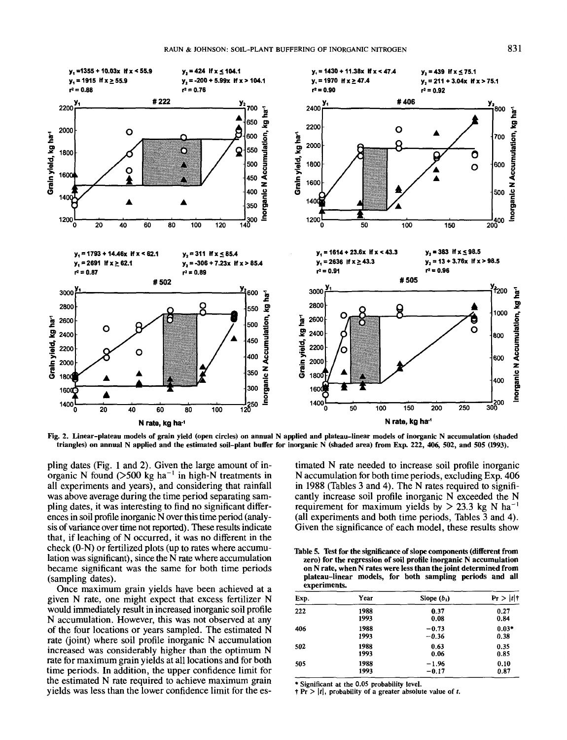

Fig. 2. Linear-plateau models of grain yield (open circles) on annual N applied and plateau-linear models of inorganic N accumulation (shaded triangles) on annual N applied and the estimated soil-plant buffer for inorganic N (shaded area) from Exp. 222, 406, 502, and 505 (1993).

pling dates (Fig. 1 and 2). Given the large amount of inorganic N found  $(>500 \text{ kg ha}^{-1}$  in high-N treatments in all experiments and years), and considering that rainfall was above average during the time period separating sampling dates, it was interesting to find no significant differences in soil profile inorganic N over this time period (analysis of variance over time not reported). These results indicate that, if leaching of N occurred, it was no different in the check (0-N) or fertilized plots (up to rates where accumulation was significant), since the N rate where accumulation became significant was the same for both time periods (sampling dates).

Once maximum grain yields have been achieved at a given N rate, one might expect that excess fertilizer N would immediately result in increased inorganic soil profile N accumulation. However, this was not observed at any of the four locations or years sampled. The estimated N rate (joint) where soil profile inorganic N accumulation increased was considerably higher than the optimum N rate for maximum grain yields at all locations and for both time periods. In addition, the upper confidence limit for the estimated N rate required to achieve maximum grain yields was less than the lower confidence limit for the estimated N rate needed to increase soil profile inorganic N accumulation for both time periods, excluding Exp. 406 in 1988 (Tables 3 and 4). The N rates required to significantly increase soil profile inorganic N exceeded the N requirement for maximum yields by  $> 23.3$  kg N ha<sup>-1</sup> (all experiments and both time periods, Tables 3 and 4). Given the significance of each model, these results show

|              |  | Table 5. Test for the significance of slope components (different from |  |  |
|--------------|--|------------------------------------------------------------------------|--|--|
|              |  | zero) for the regression of soil profile inorganic N accumulation      |  |  |
|              |  | on N rate, when N rates were less than the joint determined from       |  |  |
|              |  | plateau-linear models, for both sampling periods and all               |  |  |
| experiments. |  |                                                                        |  |  |

| Exp. | Year | Slope $(b_1)$ | Pr >  t |
|------|------|---------------|---------|
| 222  | 1988 | 0.37          | 0.27    |
|      | 1993 | 0.08          | 0.84    |
| 406  | 1988 | $-0.73$       | $0.03*$ |
|      | 1993 | $-0.36$       | 0.38    |
| 502  | 1988 | 0.63          | 0.35    |
|      | 1993 | 0.06          | 0.85    |
| 505  | 1988 | $-1.96$       | 0.10    |
|      | 1993 | $-0.17$       | 0.87    |

\* Significant at the 0.05 probability level.

 $+ Pr$  > |t|, probability of a greater absolute value of t.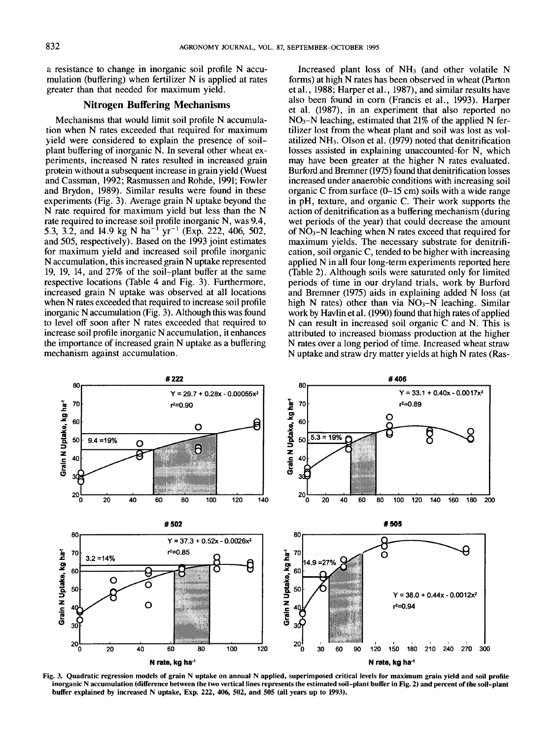a resistance to change in inorganic soil profile N accumulation (buffering) when fertilizer N is applied at rates greater than that needed for maximum yield.

## **Nitrogen Buffering Mechanisms**

Mechanisms that would limit soil profile N accumulation when N rates exceeded that required for maximum yield were considered to explain the presence of soilplant buffering of inorganic N. In several other wheat experiments, increased N rates resulted in increased grain protein without a subsequent increase in grain yield (Wuest and Cassman, 1992; Rasmussen and Rohde, 1991; Fowler and Brydon, 1989). Similar results were found in these experiments (Fig. 3). Average grain N uptake beyond the N rate required for maximum yield but less than the N rate required to increase soil profile inorganic N, was 9.4, 5.3, 3.2, and 14.9 kg N ha<sup>-1</sup> yr<sup>-1</sup> (Exp. 222, 406, 502, and 505, respectively). Based on the 1993 joint estimates for maximum yield and increased soil profile inorganic N accumulation, this increased grain N uptake represented 19, 19, 14, and 27% of the soil-plant buffer at the same respective locations (Table 4 and Fig. 3). Furthermore, increased grain N uptake was observed at all locations when N rates exceeded that required to increase soil profile inorganic N accumulation (Fig. 3). Although this was found to level off soon after N rates exceeded that required to increase soil profile inorganic N accumulation, it enhances the importance of increased grain N uptake as a buffering mechanism against accumulation.

Increased plant loss of  $NH<sub>3</sub>$  (and other volatile N forms) at high N rates has been observed in wheat (Parton et al., 1988; Harper et al., 1987), and similar results have also been found in corn (Francis et al., 1993). Harper et al. (1987), in an experiment that also reported  $NO<sub>3</sub>-N$  leaching, estimated that 21% of the applied N fertilizer lost from the wheat plant and soil was lost as volatilized  $NH<sub>3</sub>$ . Olson et al. (1979) noted that denitrification losses assisted in explaining unaccounted-for N, which may have been greater at the higher N rates evaluated. Burford and Bremner (1975) found that denitrification losses increased under anaerobic conditions with increasing soil organic C from surface (0-15 cm) soils with a wide range in pH, texture, and organic C. Their work supports the action of denitrification as a buffering mechanism (during wet periods of the year) that could decrease the amount of  $NO<sub>3</sub>-N$  leaching when N rates exceed that required for maximum yields. The necessary substrate for denitrification, soil organic C, tended to be higher with increasing applied N in all four long-term experiments reported here (Table 2). Although soils were saturated only for limited periods of time in our dryland trials, work by Burford and Bremner (1975) aids in explaining added N loss (at high N rates) other than via  $NO<sub>3</sub>-N$  leaching. Similar work by Havlin et al. (1990) found that high rates of applied N can result in increased soil organic C and N. This is attributed to increased biomass production at the higher N rates over a long period of time. Increased wheat straw N uptake and straw dry matter yields at high N rates (Ras-



Fig. 3. **Quadratic regression models of grain** N uptake on annual N **applied, superimposed** critical levels **for maximum grain yield and soil profile inorganic N accumulation (difference between the two vertical lines represents the estimated soil-plant buffer in Fig. 2) and percent of the soil-plant buffer explained by increased** N uptake, Exp. 222, 406, 502, **and 505** (all years **up to** 1993).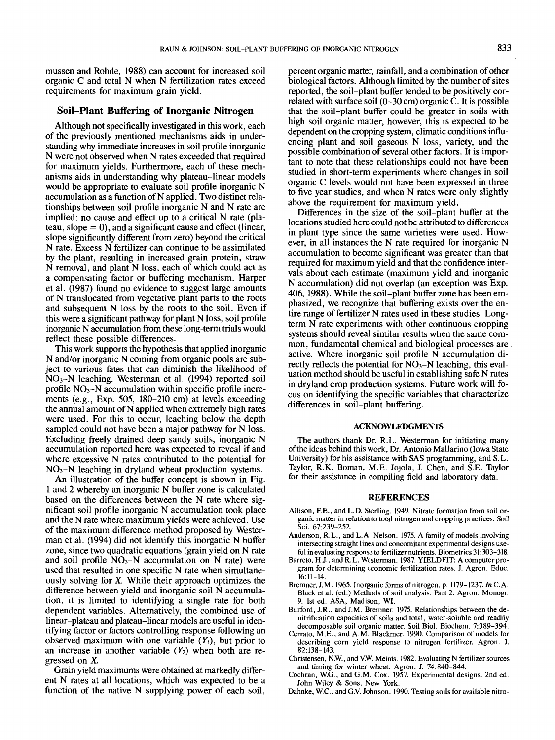mussen and Rohde, 1988) can account for increased soil organic C and total N when N fertilization rates exceed requirements for maximum grain yield.

#### **Soil-Plant Buffering of Inorganic Nitrogen**

Although not specifically investigated in this work, each of the previously mentioned mechanisms aids in understanding why immediate increases in soil profile inorganic N were not observed when N rates exceeded that required for maximum yields. Furthermore, each of these mechanisms aids in understanding why plateau-linear models would be appropriate to evaluate soil profile inorganic N accumulation as a function of N applied. Two distinct relationships between soil profile inorganic N and N rate are implied: no cause and effect up to a critical N rate (plateau, slope  $= 0$ ), and a significant cause and effect (linear, slope significantly different from zero) beyond the critical N rate. Excess N fertilizer can continue to be assimilated by the plant, resulting in increased grain protein, straw N removal, and plant N loss, each of which could act as a compensating factor or buffering mechanism. Harper et al. (1987) found no evidence to suggest large amounts of N translocated from vegetative plant parts to the roots and subsequent N loss by the roots to the soil. Even if this were a significant pathway for plant N loss, soil profile inorganic N accumulation from these long-term trials would reflect these possible differences.

This work supports the hypothesis that applied inorganic N and/or inorganic N coming from organic pools are subject to various fates that can diminish the likelihood of NO3-N leaching. Westerman et al. (1994) reported soil profile  $NO<sub>3</sub>-N$  accumulation within specific profile increments (e.g., Exp. 505, 180-210 cm) at levels exceeding the annual amount of N applied when extremely high rates were used. For this to occur, leaching below the depth sampled could not have been a major pathway for N loss. Excluding freely drained deep sandy soils, inorganic N accumulation reported here was expected to reveal if and where excessive N rates contributed to the potential for  $NO<sub>3</sub>-N$  leaching in dryland wheat production systems.

An illustration of the buffer concept is shown in Fig. 1 and 2 whereby an inorganic N buffer zone is calculated based on the differences between the N rate where significant soil profile inorganic N accumulation took place and the N rate where maximum yields were achieved. Use of the maximum difference method proposed by Westerman et al. (1994) did not identify this inorganic N buffer zone, since two quadratic equations (grain yield on N rate and soil profile  $NO<sub>3</sub>-N$  accumulation on N rate) were used that resulted in one specific N rate when simultaneously solving for *X.* While their approach optimizes the difference between yield and inorganic soil N accumulation, it is limited to identifying a single rate for both dependent variables. Alternatively, the combined use of linear-plateau and plateau-linear models are useful in identifying factor or factors controlling response following an observed maximum with one variable  $(Y_1)$ , but prior to an increase in another variable  $(Y_2)$  when both are regressed on *X.*

Grain yield maximums were obtained at markedly different N rates at all locations, which was expected to be a function of the native N supplying power of each soil,

percent organic matter, rainfall, and a combination of other biological factors. Although limited by the number of sites reported, the soil-plant buffer tended to be positively correlated with surface soil  $(0-30 \text{ cm})$  organic C. It is possible that the soil-plant buffer could be greater in soils with high soil organic matter, however, this is expected to be dependent on the cropping system, climatic conditions influencing plant and soil gaseous N loss, variety, and the possible combination of several other factors. It is important to note that these relationships could not have been studied in short-term experiments where changes in soil organic C levels would not have been expressed in three to five year studies, and when N rates were only slightly above the requirement for maximum yield.

Differences in the size of the soil-plant buffer at the locations studied here could not be attributed to differences in plant type since the same varieties were used. However, in all instances the N rate required for inorganic N accumulation to become significant was greater than that required for maximum yield and that the confidence intervals about each estimate (maximum yield and inorganic N accumulation) did not overlap (an exception was Exp. 406, 1988). While the soil-plant buffer zone has been emphasized, we recognize that buffering exists over the entire range of fertilizer N rates used in these studies. Longterm N rate experiments with other continuous cropping systems should reveal similar results when the same common, fundamental chemical and biological processes are, active. Where inorganic soil profile N accumulation directly reflects the potential for  $NO<sub>3</sub>-N$  leaching, this evaluation method should be useful in establishing safe N rates in dryland crop production systems. Future work will focus on identifying the specific variables that characterize differences in soil-plant buffering.

#### **ACKNOWLEDGMENTS**

The authors thank Dr. R.L. Westerman for initiating many of the ideas behind this work, Dr. Antonio Mallarino (Iowa State University) for his assistance with SAS programming, and S.L. Taylor, R.K. Boman, M.E. Jojola, J. Chen, and S.E. Taylor for their assistance in compiling field and laboratory data.

#### **REFERENCES**

- Allison, F.E., and L.D. Sterling. 1949. Nitrate formation from soil organic matter in relation to total nitrogen and cropping practices. Soil Sci. 67:239-252.
- Anderson, R.L., and L.A. Nelson. 1975. A family of models involving intersecting straight lines and concomitant experimental designs useful in evaluating response to fertilizer nutrients. Biometrics 31:303-318.
- Barreto, H.J., and R.L. Westerman. 1987. YIELDFIT: A computer program for determining economic fertilization rates. J. Agron. Educ.  $16:11 - 14$
- Bremner, J.M. 1965. Inorganic forms of nitrogen. p. 1179-1237. In C.A. Black et al. (ed.) Methods of soil analysis. Part 2. Agron. Monogr. 9. Ist ed. ASA, Madison, WI.
- Burford, J.R., and J.M. Bremner. 1975. Relationships between the denitrification capacities of soils and total, water-soluble and readily decomposable soil organic matter. Soil Biol. Biochem. 7:389-394.
- Cerrato, M.E., and A.M. Blackmer. 1990. Comparison of models for describing corn yield response to nitrogen fertilizer. Agron. J.  $82.138 - 143$
- Christensen, N.W., and V.W. Meints. 1982. Evaluating N fertilizer sources and timing for winter wheat. Agron. J. 74:840-844.
- Cochran, W.G., and G.M. Cox. 1957. Experimental designs. 2nd ed. John Wiley & Sons, New York.
- Dahnke, W.C., and G.V. Johnson. 1990. Testing soils for available nitro-